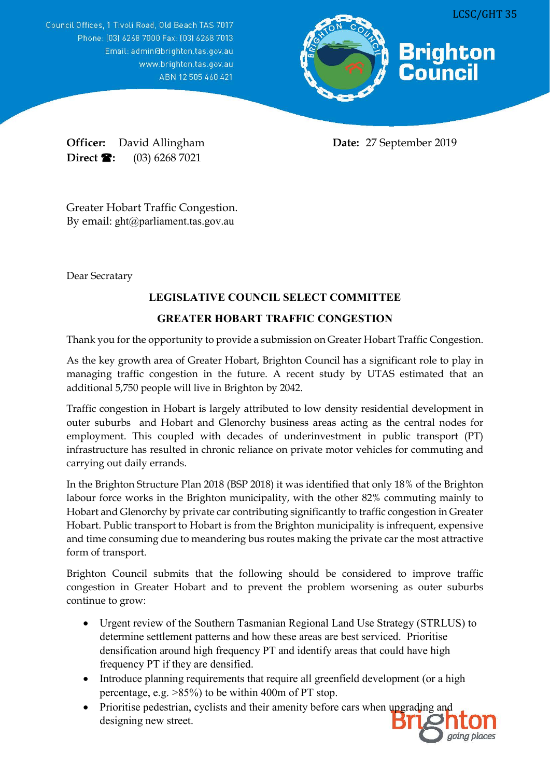Council Offices, 1 Tivoli Road, Old Beach TAS 7017 Phone: [03] 6268 7000 Fax: [03] 6268 7013 Email: admin@brighton.tas.gov.au www.brighton.tas.gov.au ABN 12505460421



**Officer:** David Allingham **Date:** 27 September 2019 **Direct <b>1**: (03) 6268 7021

Greater Hobart Traffic Congestion. By email: ght@parliament.tas.gov.au

Dear Secratary

## **LEGISLATIVE COUNCIL SELECT COMMITTEE**

## **GREATER HOBART TRAFFIC CONGESTION**

Thank you for the opportunity to provide a submission on Greater Hobart Traffic Congestion.

As the key growth area of Greater Hobart, Brighton Council has a significant role to play in managing traffic congestion in the future. A recent study by UTAS estimated that an additional 5,750 people will live in Brighton by 2042.

Traffic congestion in Hobart is largely attributed to low density residential development in outer suburbs and Hobart and Glenorchy business areas acting as the central nodes for employment. This coupled with decades of underinvestment in public transport (PT) infrastructure has resulted in chronic reliance on private motor vehicles for commuting and carrying out daily errands.

In the Brighton Structure Plan 2018 (BSP 2018) it was identified that only 18% of the Brighton labour force works in the Brighton municipality, with the other 82% commuting mainly to Hobart and Glenorchy by private car contributing significantly to traffic congestion in Greater Hobart. Public transport to Hobart is from the Brighton municipality is infrequent, expensive and time consuming due to meandering bus routes making the private car the most attractive form of transport.

Brighton Council submits that the following should be considered to improve traffic congestion in Greater Hobart and to prevent the problem worsening as outer suburbs continue to grow:

- Urgent review of the Southern Tasmanian Regional Land Use Strategy (STRLUS) to determine settlement patterns and how these areas are best serviced. Prioritise densification around high frequency PT and identify areas that could have high frequency PT if they are densified.
- Introduce planning requirements that require all greenfield development (or a high percentage, e.g. >85%) to be within 400m of PT stop.
- Prioritise pedestrian, cyclists and their amenity before cars when upgrading and designing new street.

going places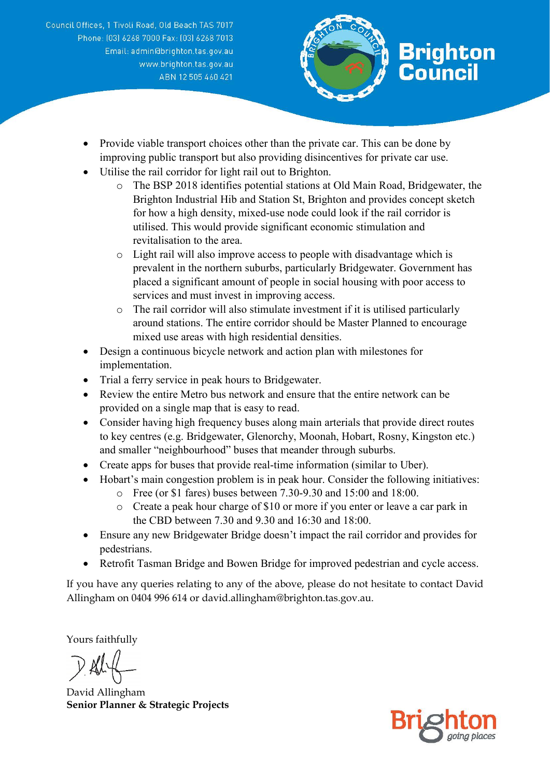Council Offices, 1 Tivoli Road, Old Beach TAS 7017 Phone: [03] 6268 7000 Fax: [03] 6268 7013 Email: admin@brighton.tas.gov.au www.brighton.tas.gov.au ABN 12505460421



- Provide viable transport choices other than the private car. This can be done by improving public transport but also providing disincentives for private car use.
- Utilise the rail corridor for light rail out to Brighton.
	- o The BSP 2018 identifies potential stations at Old Main Road, Bridgewater, the Brighton Industrial Hib and Station St, Brighton and provides concept sketch for how a high density, mixed-use node could look if the rail corridor is utilised. This would provide significant economic stimulation and revitalisation to the area.
	- o Light rail will also improve access to people with disadvantage which is prevalent in the northern suburbs, particularly Bridgewater. Government has placed a significant amount of people in social housing with poor access to services and must invest in improving access.
	- o The rail corridor will also stimulate investment if it is utilised particularly around stations. The entire corridor should be Master Planned to encourage mixed use areas with high residential densities.
- Design a continuous bicycle network and action plan with milestones for implementation.
- Trial a ferry service in peak hours to Bridgewater.
- Review the entire Metro bus network and ensure that the entire network can be provided on a single map that is easy to read.
- Consider having high frequency buses along main arterials that provide direct routes to key centres (e.g. Bridgewater, Glenorchy, Moonah, Hobart, Rosny, Kingston etc.) and smaller "neighbourhood" buses that meander through suburbs.
- Create apps for buses that provide real-time information (similar to Uber).
- Hobart's main congestion problem is in peak hour. Consider the following initiatives:
	- o Free (or \$1 fares) buses between 7.30-9.30 and 15:00 and 18:00.
	- o Create a peak hour charge of \$10 or more if you enter or leave a car park in the CBD between 7.30 and 9.30 and 16:30 and 18:00.
- Ensure any new Bridgewater Bridge doesn't impact the rail corridor and provides for pedestrians.
- Retrofit Tasman Bridge and Bowen Bridge for improved pedestrian and cycle access.

If you have any queries relating to any of the above, please do not hesitate to contact David Allingham on 0404 996 614 or david.allingham@brighton.tas.gov.au.

Yours faithfully

David Allingham **Senior Planner & Strategic Projects**